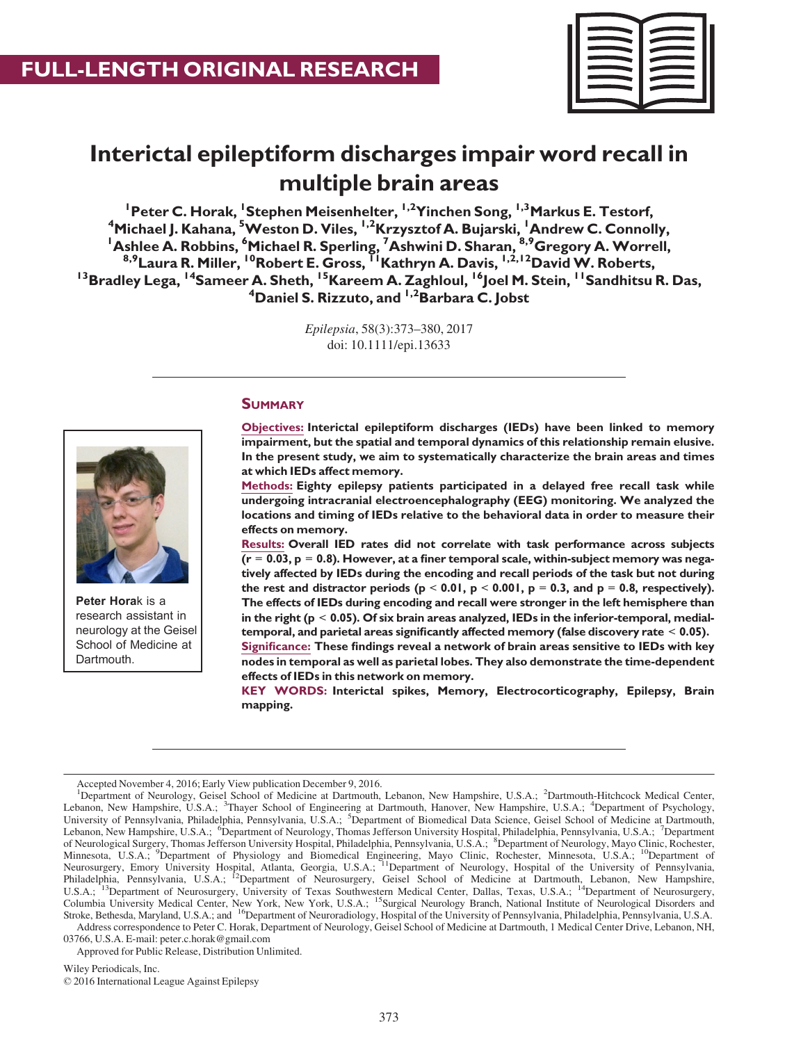

# Interictal epileptiform discharges impair word recall in multiple brain areas

<sup>1</sup>Peter C. Horak, <sup>1</sup>Stephen Meisenhelter, <sup>1,2</sup>Yinchen Song, <sup>1,3</sup>Markus E. Testorf,<br><sup>4</sup>Michael J. Kahana, <sup>5</sup>Weston D. Viles, <sup>1,2</sup>Krzysztof A. Bujarski, <sup>1</sup>Andrew C. Connolly,<br><sup>1</sup>Ashlee A. Robbins, <sup>6</sup>Michael R. Sperli <sup>8,9</sup>Laura R. Miller, <sup>10</sup>Robert E. Gross, <sup>11</sup>Kathryn A. Davis, <sup>1,2,12</sup>David W. Roberts, <sup>13</sup>Bradley Lega, <sup>14</sup>Sameer A. Sheth, <sup>15</sup>Kareem A. Zaghloul, <sup>16</sup>Joel M. Stein, <sup>11</sup>Sandhitsu R. Das, <sup>4</sup>Daniel S. Rizzuto, and <sup>1,2</sup>Barbara C. Jobst

> Epilepsia, 58(3):373–380, 2017 doi: 10.1111/epi.13633

### **SUMMARY**



Peter Horak is a research assistant in neurology at the Geisel School of Medicine at Dartmouth.

Objectives: Interictal epileptiform discharges (IEDs) have been linked to memory impairment, but the spatial and temporal dynamics of this relationship remain elusive. In the present study, we aim to systematically characterize the brain areas and times at which IEDs affect memory.

Methods: Eighty epilepsy patients participated in a delayed free recall task while undergoing intracranial electroencephalography (EEG) monitoring. We analyzed the locations and timing of IEDs relative to the behavioral data in order to measure their effects on memory.

Results: Overall IED rates did not correlate with task performance across subjects  $(r = 0.03, p = 0.8)$ . However, at a finer temporal scale, within-subject memory was negatively affected by IEDs during the encoding and recall periods of the task but not during the rest and distractor periods ( $p < 0.01$ ,  $p < 0.001$ ,  $p = 0.3$ , and  $p = 0.8$ , respectively). The effects of IEDs during encoding and recall were stronger in the left hemisphere than in the right ( $p < 0.05$ ). Of six brain areas analyzed, IEDs in the inferior-temporal, medialtemporal, and parietal areas significantly affected memory (false discovery rate < 0.05). Significance: These findings reveal a network of brain areas sensitive to IEDs with key

nodes in temporal as well as parietal lobes. They also demonstrate the time-dependent effects of IEDs in this network on memory.

KEY WORDS: Interictal spikes, Memory, Electrocorticography, Epilepsy, Brain mapping.

Address correspondence to Peter C. Horak, Department of Neurology, Geisel School of Medicine at Dartmouth, 1 Medical Center Drive, Lebanon, NH, 03766, U.S.A. E-mail: peter.c.horak@gmail.com

Approved for Public Release, Distribution Unlimited.

Accepted November 4, 2016; Early View publication December 9, 2016.

<sup>&</sup>lt;sup>1</sup>Department of Neurology, Geisel School of Medicine at Dartmouth, Lebanon, New Hampshire, U.S.A.; <sup>2</sup>Dartmouth-Hitchcock Medical Center, Lebanon, New Hampshire, U.S.A.; <sup>3</sup>Thayer School of Engineering at Dartmouth, Hanover, New Hampshire, U.S.A.; <sup>4</sup>Department of Psychology,<br>University of Pennsylvania, Philadelphia, Pennsylvania, U.S.A.; <sup>5</sup>Department of Bi Lebanon, New Hampshire, U.S.A.; <sup>6</sup>Department of Neurology, Thomas Jefferson University Hospital, Philadelphia, Pennsylvania, U.S.A.; <sup>7</sup>Department of Neurological Surgery, Thomas Jefferson University Hospital, Philadelphia, Pennsylvania, U.S.A.; <sup>8</sup>Department of Neurology, Mayo Clinic, Rochester, Minnesota, U.S.A.; <sup>9</sup>Department of Physiology and Biomedical Engineering, Mayo Clinic, Rochester, Minnesota, U.S.A.; <sup>10</sup>Department of Neurosurgery, Emory University Hospital, Atlanta, Georgia, U.S.A.; <sup>11</sup>Department of Neurology, Hospital of the University of Pennsylvania, Philadelphia, Pennsylvania, U.S.A.; <sup>12</sup>Department of Neurosurgery, Geisel School of Medicine at Dartmouth, Lebanon, New Hampshire, U.S.A.; <sup>13</sup>Department of Neurosurgery, University of Texas Southwestern Medical Center, Dallas, Texas, U.S.A.; <sup>14</sup>Department of Neurosurgery, Columbia University Medical Center, New York, New York, U.S.A.; 15Surgical Neurology Branch, National Institute of Neurological Disorders and Stroke, Bethesda, Maryland, U.S.A.; and <sup>16</sup>Department of Neuroradiology, Hospital of the University of Pennsylvania, Philadelphia, Pennsylvania, U.S.A.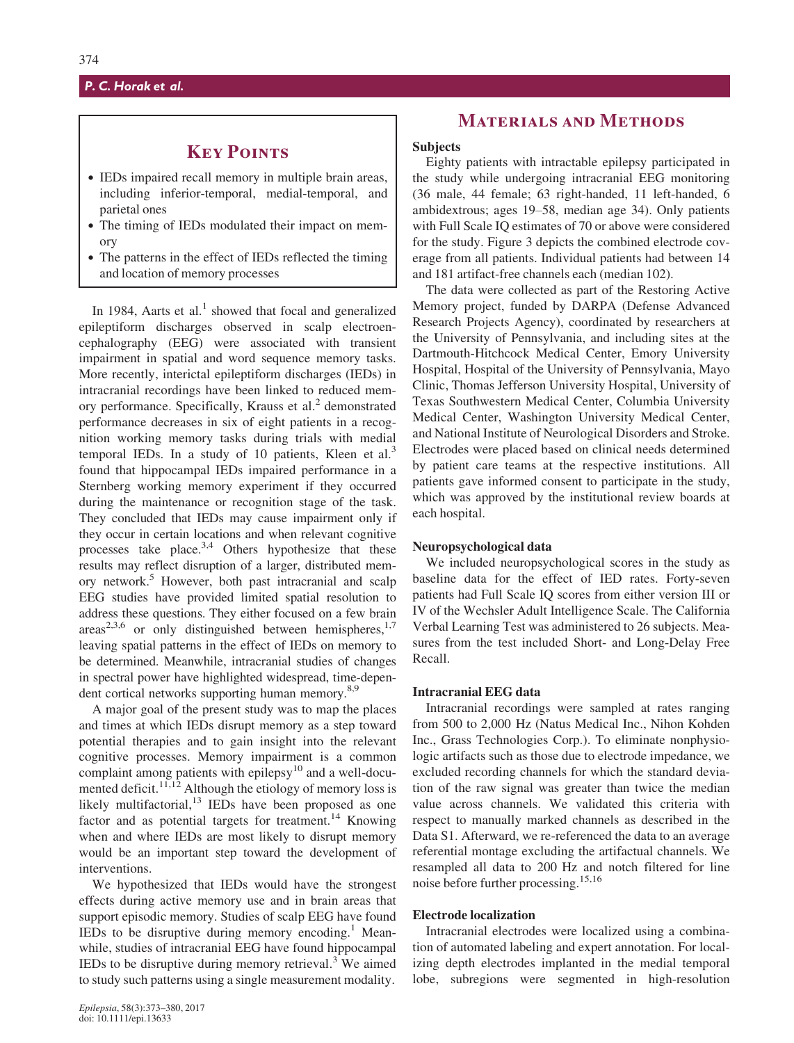# **KEY POINTS**

- IEDs impaired recall memory in multiple brain areas, including inferior-temporal, medial-temporal, and parietal ones
- The timing of IEDs modulated their impact on memory
- The patterns in the effect of IEDs reflected the timing and location of memory processes

In 1984, Aarts et al.<sup>1</sup> showed that focal and generalized epileptiform discharges observed in scalp electroencephalography (EEG) were associated with transient impairment in spatial and word sequence memory tasks. More recently, interictal epileptiform discharges (IEDs) in intracranial recordings have been linked to reduced memory performance. Specifically, Krauss et al.<sup>2</sup> demonstrated performance decreases in six of eight patients in a recognition working memory tasks during trials with medial temporal IEDs. In a study of 10 patients, Kleen et al.<sup>3</sup> found that hippocampal IEDs impaired performance in a Sternberg working memory experiment if they occurred during the maintenance or recognition stage of the task. They concluded that IEDs may cause impairment only if they occur in certain locations and when relevant cognitive processes take place. $3,4$  Others hypothesize that these results may reflect disruption of a larger, distributed memory network.<sup>5</sup> However, both past intracranial and scalp EEG studies have provided limited spatial resolution to address these questions. They either focused on a few brain areas<sup>2,3,6</sup> or only distinguished between hemispheres,<sup>1,7</sup> leaving spatial patterns in the effect of IEDs on memory to be determined. Meanwhile, intracranial studies of changes in spectral power have highlighted widespread, time-dependent cortical networks supporting human memory.<sup>8,9</sup>

A major goal of the present study was to map the places and times at which IEDs disrupt memory as a step toward potential therapies and to gain insight into the relevant cognitive processes. Memory impairment is a common complaint among patients with epilepsy<sup>10</sup> and a well-documented deficit.<sup>11,12</sup> Although the etiology of memory loss is likely multifactorial, $^{13}$  IEDs have been proposed as one factor and as potential targets for treatment.<sup>14</sup> Knowing when and where IEDs are most likely to disrupt memory would be an important step toward the development of interventions.

We hypothesized that IEDs would have the strongest effects during active memory use and in brain areas that support episodic memory. Studies of scalp EEG have found IEDs to be disruptive during memory encoding.<sup>1</sup> Meanwhile, studies of intracranial EEG have found hippocampal IEDs to be disruptive during memory retrieval.<sup>3</sup> We aimed to study such patterns using a single measurement modality.

# Materials and Methods

### Subjects

Eighty patients with intractable epilepsy participated in the study while undergoing intracranial EEG monitoring (36 male, 44 female; 63 right-handed, 11 left-handed, 6 ambidextrous; ages 19–58, median age 34). Only patients with Full Scale IQ estimates of 70 or above were considered for the study. Figure 3 depicts the combined electrode coverage from all patients. Individual patients had between 14 and 181 artifact-free channels each (median 102).

The data were collected as part of the Restoring Active Memory project, funded by DARPA (Defense Advanced Research Projects Agency), coordinated by researchers at the University of Pennsylvania, and including sites at the Dartmouth-Hitchcock Medical Center, Emory University Hospital, Hospital of the University of Pennsylvania, Mayo Clinic, Thomas Jefferson University Hospital, University of Texas Southwestern Medical Center, Columbia University Medical Center, Washington University Medical Center, and National Institute of Neurological Disorders and Stroke. Electrodes were placed based on clinical needs determined by patient care teams at the respective institutions. All patients gave informed consent to participate in the study, which was approved by the institutional review boards at each hospital.

### Neuropsychological data

We included neuropsychological scores in the study as baseline data for the effect of IED rates. Forty-seven patients had Full Scale IQ scores from either version III or IV of the Wechsler Adult Intelligence Scale. The California Verbal Learning Test was administered to 26 subjects. Measures from the test included Short- and Long-Delay Free Recall.

#### Intracranial EEG data

Intracranial recordings were sampled at rates ranging from 500 to 2,000 Hz (Natus Medical Inc., Nihon Kohden Inc., Grass Technologies Corp.). To eliminate nonphysiologic artifacts such as those due to electrode impedance, we excluded recording channels for which the standard deviation of the raw signal was greater than twice the median value across channels. We validated this criteria with respect to manually marked channels as described in the Data S1. Afterward, we re-referenced the data to an average referential montage excluding the artifactual channels. We resampled all data to 200 Hz and notch filtered for line noise before further processing.15,16

### Electrode localization

Intracranial electrodes were localized using a combination of automated labeling and expert annotation. For localizing depth electrodes implanted in the medial temporal lobe, subregions were segmented in high-resolution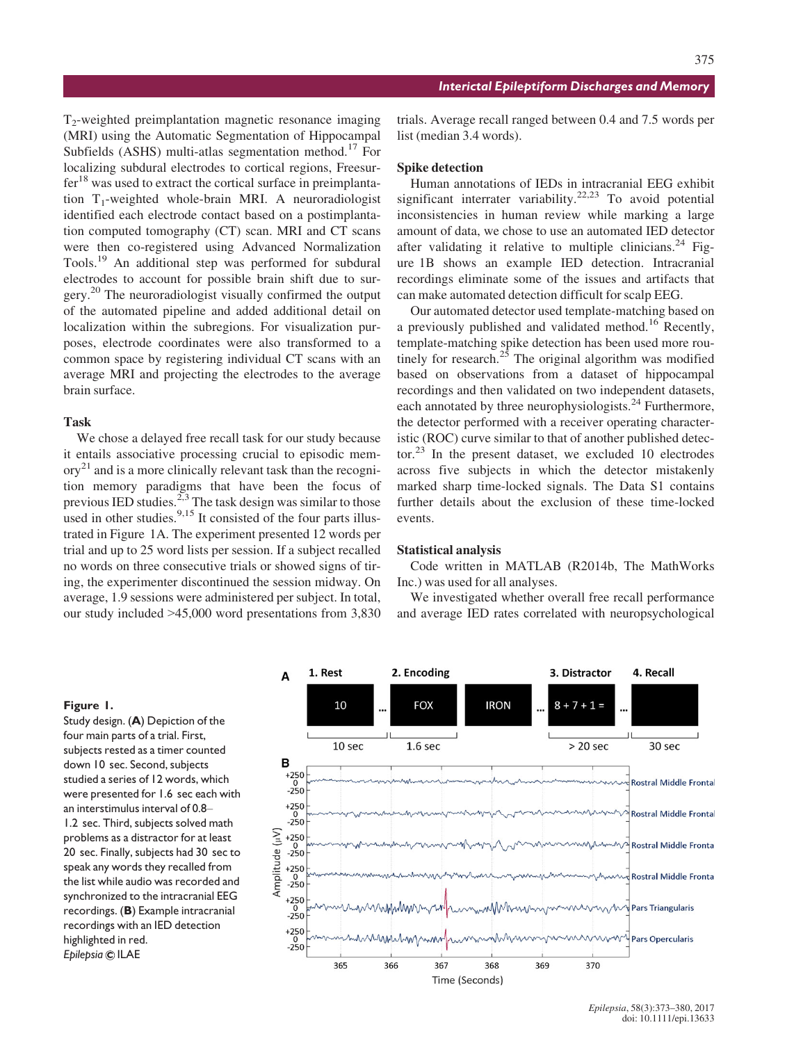$T<sub>2</sub>$ -weighted preimplantation magnetic resonance imaging (MRI) using the Automatic Segmentation of Hippocampal Subfields (ASHS) multi-atlas segmentation method.<sup>17</sup> For localizing subdural electrodes to cortical regions, Freesur $fer<sup>18</sup>$  was used to extract the cortical surface in preimplantation  $T_1$ -weighted whole-brain MRI. A neuroradiologist identified each electrode contact based on a postimplantation computed tomography (CT) scan. MRI and CT scans were then co-registered using Advanced Normalization Tools.<sup>19</sup> An additional step was performed for subdural electrodes to account for possible brain shift due to surgery.<sup>20</sup> The neuroradiologist visually confirmed the output of the automated pipeline and added additional detail on localization within the subregions. For visualization purposes, electrode coordinates were also transformed to a common space by registering individual CT scans with an average MRI and projecting the electrodes to the average brain surface.

### Task

We chose a delayed free recall task for our study because it entails associative processing crucial to episodic mem- $\text{ory}^{21}$  and is a more clinically relevant task than the recognition memory paradigms that have been the focus of previous IED studies.<sup>2,3</sup> The task design was similar to those used in other studies. $9,15$  It consisted of the four parts illustrated in Figure 1A. The experiment presented 12 words per trial and up to 25 word lists per session. If a subject recalled no words on three consecutive trials or showed signs of tiring, the experimenter discontinued the session midway. On average, 1.9 sessions were administered per subject. In total, our study included >45,000 word presentations from 3,830 trials. Average recall ranged between 0.4 and 7.5 words per list (median 3.4 words).

#### Spike detection

Human annotations of IEDs in intracranial EEG exhibit significant interrater variability.<sup>22,23</sup> To avoid potential inconsistencies in human review while marking a large amount of data, we chose to use an automated IED detector after validating it relative to multiple clinicians.<sup>24</sup> Figure 1B shows an example IED detection. Intracranial recordings eliminate some of the issues and artifacts that can make automated detection difficult for scalp EEG.

Our automated detector used template-matching based on a previously published and validated method.<sup>16</sup> Recently, template-matching spike detection has been used more routinely for research.<sup>25</sup> The original algorithm was modified based on observations from a dataset of hippocampal recordings and then validated on two independent datasets, each annotated by three neurophysiologists.<sup>24</sup> Furthermore, the detector performed with a receiver operating characteristic (ROC) curve similar to that of another published detector. $^{23}$  In the present dataset, we excluded 10 electrodes across five subjects in which the detector mistakenly marked sharp time-locked signals. The Data S1 contains further details about the exclusion of these time-locked events.

#### Statistical analysis

Code written in MATLAB (R2014b, The MathWorks Inc.) was used for all analyses.

We investigated whether overall free recall performance and average IED rates correlated with neuropsychological

#### Figure 1.

Study design. (A) Depiction of the four main parts of a trial. First, subjects rested as a timer counted down 10 sec. Second, subjects studied a series of 12 words, which were presented for 1.6 sec each with an interstimulus interval of 0.8– 1.2 sec. Third, subjects solved math problems as a distractor for at least 20 sec. Finally, subjects had 30 sec to speak any words they recalled from the list while audio was recorded and synchronized to the intracranial EEG recordings. (B) Example intracranial recordings with an IED detection highlighted in red. Epilepsia © ILAE



Epilepsia, 58(3):373–380, 2017 doi: 10.1111/epi.13633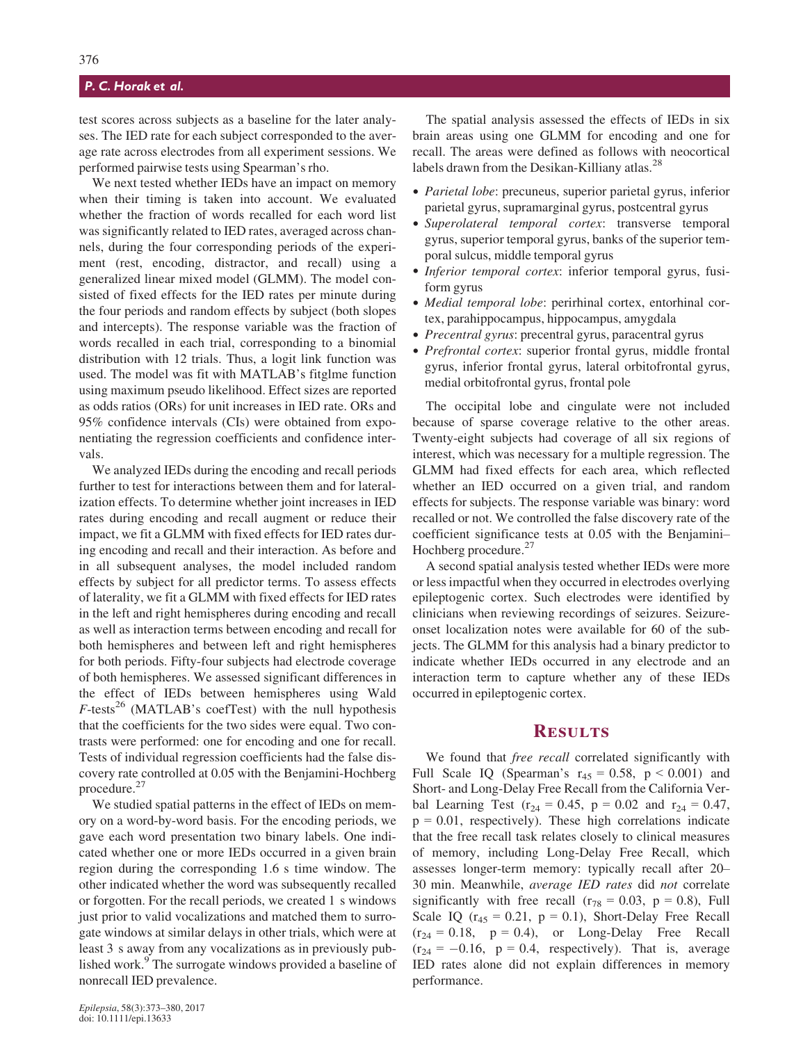test scores across subjects as a baseline for the later analyses. The IED rate for each subject corresponded to the average rate across electrodes from all experiment sessions. We performed pairwise tests using Spearman's rho.

We next tested whether IEDs have an impact on memory when their timing is taken into account. We evaluated whether the fraction of words recalled for each word list was significantly related to IED rates, averaged across channels, during the four corresponding periods of the experiment (rest, encoding, distractor, and recall) using a generalized linear mixed model (GLMM). The model consisted of fixed effects for the IED rates per minute during the four periods and random effects by subject (both slopes and intercepts). The response variable was the fraction of words recalled in each trial, corresponding to a binomial distribution with 12 trials. Thus, a logit link function was used. The model was fit with MATLAB's fitglme function using maximum pseudo likelihood. Effect sizes are reported as odds ratios (ORs) for unit increases in IED rate. ORs and 95% confidence intervals (CIs) were obtained from exponentiating the regression coefficients and confidence intervals.

We analyzed IEDs during the encoding and recall periods further to test for interactions between them and for lateralization effects. To determine whether joint increases in IED rates during encoding and recall augment or reduce their impact, we fit a GLMM with fixed effects for IED rates during encoding and recall and their interaction. As before and in all subsequent analyses, the model included random effects by subject for all predictor terms. To assess effects of laterality, we fit a GLMM with fixed effects for IED rates in the left and right hemispheres during encoding and recall as well as interaction terms between encoding and recall for both hemispheres and between left and right hemispheres for both periods. Fifty-four subjects had electrode coverage of both hemispheres. We assessed significant differences in the effect of IEDs between hemispheres using Wald  $F$ -tests<sup>26</sup> (MATLAB's coefTest) with the null hypothesis that the coefficients for the two sides were equal. Two contrasts were performed: one for encoding and one for recall. Tests of individual regression coefficients had the false discovery rate controlled at 0.05 with the Benjamini-Hochberg procedure.<sup>27</sup>

We studied spatial patterns in the effect of IEDs on memory on a word-by-word basis. For the encoding periods, we gave each word presentation two binary labels. One indicated whether one or more IEDs occurred in a given brain region during the corresponding 1.6 s time window. The other indicated whether the word was subsequently recalled or forgotten. For the recall periods, we created 1 s windows just prior to valid vocalizations and matched them to surrogate windows at similar delays in other trials, which were at least 3 s away from any vocalizations as in previously published work.<sup>9</sup> The surrogate windows provided a baseline of nonrecall IED prevalence.

The spatial analysis assessed the effects of IEDs in six brain areas using one GLMM for encoding and one for recall. The areas were defined as follows with neocortical labels drawn from the Desikan-Killiany atlas.<sup>28</sup>

- Parietal lobe: precuneus, superior parietal gyrus, inferior parietal gyrus, supramarginal gyrus, postcentral gyrus
- Superolateral temporal cortex: transverse temporal gyrus, superior temporal gyrus, banks of the superior temporal sulcus, middle temporal gyrus
- *Inferior temporal cortex*: inferior temporal gyrus, fusiform gyrus
- Medial temporal lobe: perirhinal cortex, entorhinal cortex, parahippocampus, hippocampus, amygdala
- *Precentral gyrus*: precentral gyrus, paracentral gyrus
- *Prefrontal cortex:* superior frontal gyrus, middle frontal gyrus, inferior frontal gyrus, lateral orbitofrontal gyrus, medial orbitofrontal gyrus, frontal pole

The occipital lobe and cingulate were not included because of sparse coverage relative to the other areas. Twenty-eight subjects had coverage of all six regions of interest, which was necessary for a multiple regression. The GLMM had fixed effects for each area, which reflected whether an IED occurred on a given trial, and random effects for subjects. The response variable was binary: word recalled or not. We controlled the false discovery rate of the coefficient significance tests at 0.05 with the Benjamini– Hochberg procedure.<sup>27</sup>

A second spatial analysis tested whether IEDs were more or less impactful when they occurred in electrodes overlying epileptogenic cortex. Such electrodes were identified by clinicians when reviewing recordings of seizures. Seizureonset localization notes were available for 60 of the subjects. The GLMM for this analysis had a binary predictor to indicate whether IEDs occurred in any electrode and an interaction term to capture whether any of these IEDs occurred in epileptogenic cortex.

### **RESULTS**

We found that *free recall* correlated significantly with Full Scale IQ (Spearman's  $r_{45} = 0.58$ ,  $p < 0.001$ ) and Short- and Long-Delay Free Recall from the California Verbal Learning Test ( $r_{24} = 0.45$ ,  $p = 0.02$  and  $r_{24} = 0.47$ ,  $p = 0.01$ , respectively). These high correlations indicate that the free recall task relates closely to clinical measures of memory, including Long-Delay Free Recall, which assesses longer-term memory: typically recall after 20– 30 min. Meanwhile, average IED rates did not correlate significantly with free recall ( $r_{78} = 0.03$ ,  $p = 0.8$ ), Full Scale IQ ( $r_{45} = 0.21$ ,  $p = 0.1$ ), Short-Delay Free Recall  $(r_{24} = 0.18, p = 0.4)$ , or Long-Delay Free Recall  $(r_{24} = -0.16, p = 0.4, respectively)$ . That is, average IED rates alone did not explain differences in memory performance.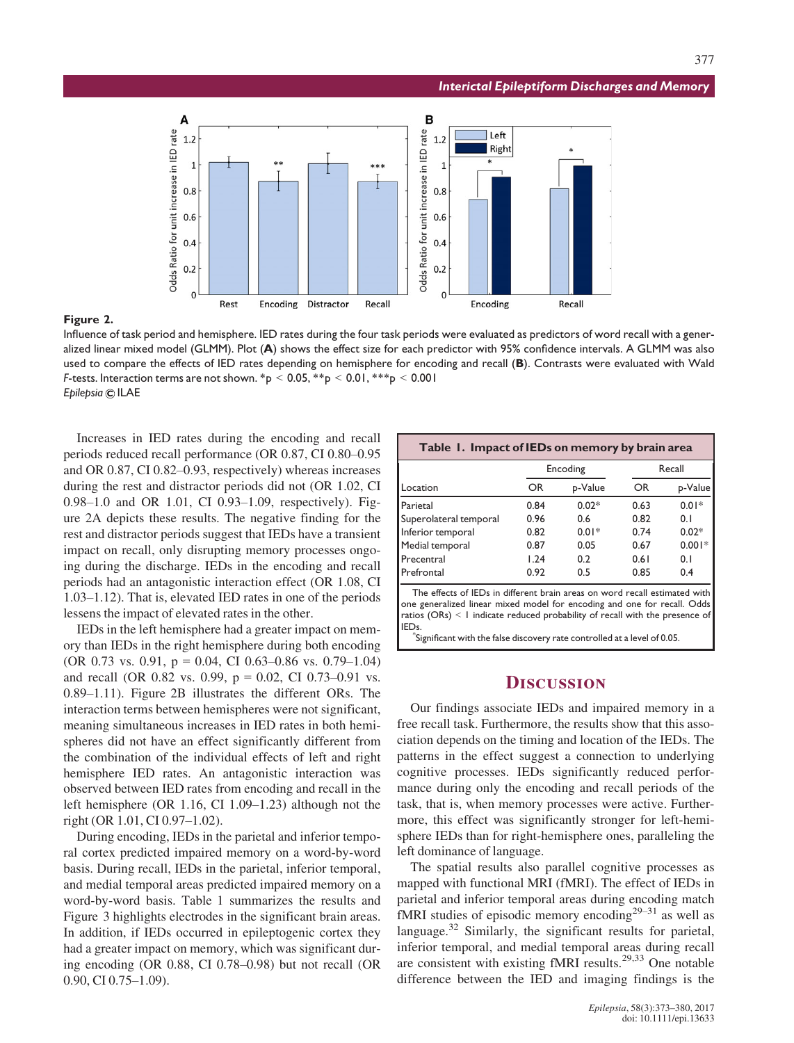#### Interictal Epileptiform Discharges and Memory



#### Figure 2.

Influence of task period and hemisphere. IED rates during the four task periods were evaluated as predictors of word recall with a generalized linear mixed model (GLMM). Plot (A) shows the effect size for each predictor with 95% confidence intervals. A GLMM was also used to compare the effects of IED rates depending on hemisphere for encoding and recall (B). Contrasts were evaluated with Wald F-tests. Interaction terms are not shown.  $*_{p}$  < 0.05,  $*_{p}$  < 0.01,  $***_{p}$  < 0.001 Epilepsia © ILAE

Increases in IED rates during the encoding and recall periods reduced recall performance (OR 0.87, CI 0.80–0.95 and OR 0.87, CI 0.82–0.93, respectively) whereas increases during the rest and distractor periods did not (OR 1.02, CI 0.98–1.0 and OR 1.01, CI 0.93–1.09, respectively). Figure 2A depicts these results. The negative finding for the rest and distractor periods suggest that IEDs have a transient impact on recall, only disrupting memory processes ongoing during the discharge. IEDs in the encoding and recall periods had an antagonistic interaction effect (OR 1.08, CI 1.03–1.12). That is, elevated IED rates in one of the periods lessens the impact of elevated rates in the other.

IEDs in the left hemisphere had a greater impact on memory than IEDs in the right hemisphere during both encoding (OR 0.73 vs. 0.91, p = 0.04, CI 0.63–0.86 vs. 0.79–1.04) and recall (OR 0.82 vs. 0.99,  $p = 0.02$ , CI 0.73–0.91 vs. 0.89–1.11). Figure 2B illustrates the different ORs. The interaction terms between hemispheres were not significant, meaning simultaneous increases in IED rates in both hemispheres did not have an effect significantly different from the combination of the individual effects of left and right hemisphere IED rates. An antagonistic interaction was observed between IED rates from encoding and recall in the left hemisphere (OR 1.16, CI 1.09–1.23) although not the right (OR 1.01, CI 0.97–1.02).

During encoding, IEDs in the parietal and inferior temporal cortex predicted impaired memory on a word-by-word basis. During recall, IEDs in the parietal, inferior temporal, and medial temporal areas predicted impaired memory on a word-by-word basis. Table 1 summarizes the results and Figure 3 highlights electrodes in the significant brain areas. In addition, if IEDs occurred in epileptogenic cortex they had a greater impact on memory, which was significant during encoding (OR 0.88, CI 0.78–0.98) but not recall (OR 0.90, CI 0.75–1.09).

| Table 1. Impact of IEDs on memory by brain area |          |         |        |          |
|-------------------------------------------------|----------|---------|--------|----------|
|                                                 | Encoding |         | Recall |          |
| Location                                        | OR       | p-Value | OR.    | p-Value  |
| Parietal                                        | 0.84     | $0.02*$ | 0.63   | $0.01*$  |
| Superolateral temporal                          | 0.96     | 0.6     | 0.82   | 0.1      |
| Inferior temporal                               | 0.82     | $0.01*$ | 0.74   | $0.02*$  |
| Medial temporal                                 | 0.87     | 0.05    | 0.67   | $0.001*$ |
| Precentral                                      | 1.24     | 0.2     | 0.61   | 0.1      |
| Prefrontal                                      | 0.92     | 0.5     | 0.85   | 0.4      |

The effects of IEDs in different brain areas on word recall estimated with one generalized linear mixed model for encoding and one for recall. Odds ratios (ORs) < 1 indicate reduced probability of recall with the presence of  $IFDs$ 

Significant with the false discovery rate controlled at a level of 0.05.

## **DISCUSSION**

Our findings associate IEDs and impaired memory in a free recall task. Furthermore, the results show that this association depends on the timing and location of the IEDs. The patterns in the effect suggest a connection to underlying cognitive processes. IEDs significantly reduced performance during only the encoding and recall periods of the task, that is, when memory processes were active. Furthermore, this effect was significantly stronger for left-hemisphere IEDs than for right-hemisphere ones, paralleling the left dominance of language.

The spatial results also parallel cognitive processes as mapped with functional MRI (fMRI). The effect of IEDs in parietal and inferior temporal areas during encoding match fMRI studies of episodic memory encoding<sup>29–31</sup> as well as language. $32$  Similarly, the significant results for parietal, inferior temporal, and medial temporal areas during recall are consistent with existing fMRI results. $29,33$  One notable difference between the IED and imaging findings is the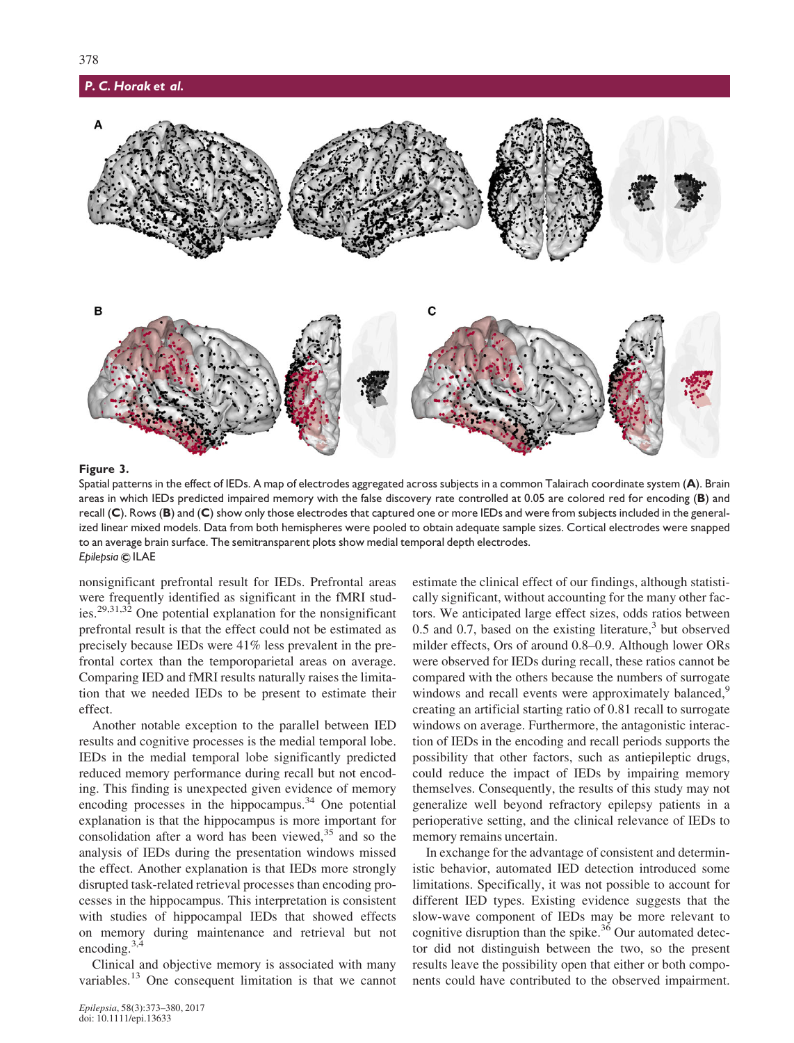

#### Figure 3.

Spatial patterns in the effect of IEDs. A map of electrodes aggregated across subjects in a common Talairach coordinate system (A). Brain areas in which IEDs predicted impaired memory with the false discovery rate controlled at 0.05 are colored red for encoding (B) and recall (C). Rows (B) and (C) show only those electrodes that captured one or more IEDs and were from subjects included in the generalized linear mixed models. Data from both hemispheres were pooled to obtain adequate sample sizes. Cortical electrodes were snapped to an average brain surface. The semitransparent plots show medial temporal depth electrodes. Epilepsia © ILAE

nonsignificant prefrontal result for IEDs. Prefrontal areas were frequently identified as significant in the fMRI studies.29,31,32 One potential explanation for the nonsignificant prefrontal result is that the effect could not be estimated as precisely because IEDs were 41% less prevalent in the prefrontal cortex than the temporoparietal areas on average. Comparing IED and fMRI results naturally raises the limitation that we needed IEDs to be present to estimate their effect.

Another notable exception to the parallel between IED results and cognitive processes is the medial temporal lobe. IEDs in the medial temporal lobe significantly predicted reduced memory performance during recall but not encoding. This finding is unexpected given evidence of memory encoding processes in the hippocampus.<sup>34</sup> One potential explanation is that the hippocampus is more important for consolidation after a word has been viewed, $35$  and so the analysis of IEDs during the presentation windows missed the effect. Another explanation is that IEDs more strongly disrupted task-related retrieval processes than encoding processes in the hippocampus. This interpretation is consistent with studies of hippocampal IEDs that showed effects on memory during maintenance and retrieval but not encoding.<sup>3,4</sup>

Clinical and objective memory is associated with many variables.<sup>13</sup> One consequent limitation is that we cannot estimate the clinical effect of our findings, although statistically significant, without accounting for the many other factors. We anticipated large effect sizes, odds ratios between 0.5 and 0.7, based on the existing literature, $3$  but observed milder effects, Ors of around 0.8–0.9. Although lower ORs were observed for IEDs during recall, these ratios cannot be compared with the others because the numbers of surrogate windows and recall events were approximately balanced,<sup>9</sup> creating an artificial starting ratio of 0.81 recall to surrogate windows on average. Furthermore, the antagonistic interaction of IEDs in the encoding and recall periods supports the possibility that other factors, such as antiepileptic drugs, could reduce the impact of IEDs by impairing memory themselves. Consequently, the results of this study may not generalize well beyond refractory epilepsy patients in a perioperative setting, and the clinical relevance of IEDs to memory remains uncertain.

In exchange for the advantage of consistent and deterministic behavior, automated IED detection introduced some limitations. Specifically, it was not possible to account for different IED types. Existing evidence suggests that the slow-wave component of IEDs may be more relevant to cognitive disruption than the spike. $36$  Our automated detector did not distinguish between the two, so the present results leave the possibility open that either or both components could have contributed to the observed impairment.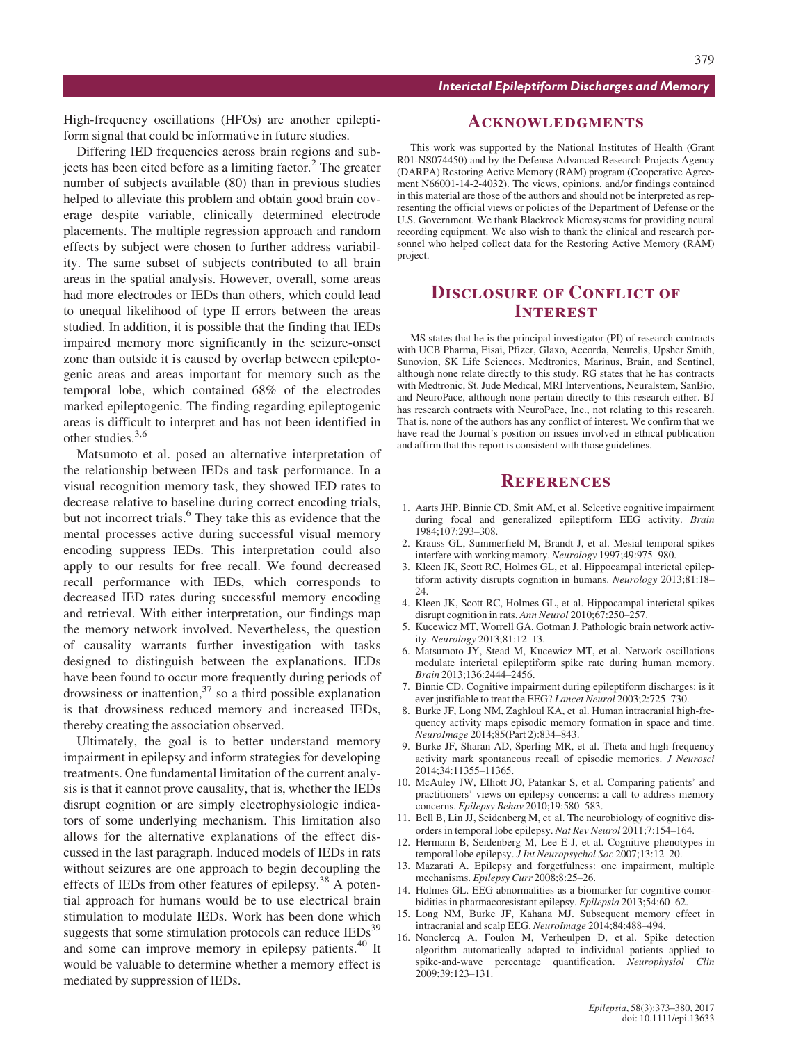#### Interictal Epileptiform Discharges and Memory

High-frequency oscillations (HFOs) are another epileptiform signal that could be informative in future studies.

Differing IED frequencies across brain regions and subjects has been cited before as a limiting factor. $<sup>2</sup>$  The greater</sup> number of subjects available (80) than in previous studies helped to alleviate this problem and obtain good brain coverage despite variable, clinically determined electrode placements. The multiple regression approach and random effects by subject were chosen to further address variability. The same subset of subjects contributed to all brain areas in the spatial analysis. However, overall, some areas had more electrodes or IEDs than others, which could lead to unequal likelihood of type II errors between the areas studied. In addition, it is possible that the finding that IEDs impaired memory more significantly in the seizure-onset zone than outside it is caused by overlap between epileptogenic areas and areas important for memory such as the temporal lobe, which contained 68% of the electrodes marked epileptogenic. The finding regarding epileptogenic areas is difficult to interpret and has not been identified in other studies.<sup>3,6</sup>

Matsumoto et al. posed an alternative interpretation of the relationship between IEDs and task performance. In a visual recognition memory task, they showed IED rates to decrease relative to baseline during correct encoding trials, but not incorrect trials.<sup>6</sup> They take this as evidence that the mental processes active during successful visual memory encoding suppress IEDs. This interpretation could also apply to our results for free recall. We found decreased recall performance with IEDs, which corresponds to decreased IED rates during successful memory encoding and retrieval. With either interpretation, our findings map the memory network involved. Nevertheless, the question of causality warrants further investigation with tasks designed to distinguish between the explanations. IEDs have been found to occur more frequently during periods of drowsiness or inattention,  $37$  so a third possible explanation is that drowsiness reduced memory and increased IEDs, thereby creating the association observed.

Ultimately, the goal is to better understand memory impairment in epilepsy and inform strategies for developing treatments. One fundamental limitation of the current analysis is that it cannot prove causality, that is, whether the IEDs disrupt cognition or are simply electrophysiologic indicators of some underlying mechanism. This limitation also allows for the alternative explanations of the effect discussed in the last paragraph. Induced models of IEDs in rats without seizures are one approach to begin decoupling the effects of IEDs from other features of epilepsy.<sup>38</sup> A potential approach for humans would be to use electrical brain stimulation to modulate IEDs. Work has been done which suggests that some stimulation protocols can reduce IEDs<sup>39</sup> and some can improve memory in epilepsy patients.<sup>40</sup> It would be valuable to determine whether a memory effect is mediated by suppression of IEDs.

### **ACKNOWLEDGMENTS**

This work was supported by the National Institutes of Health (Grant R01-NS074450) and by the Defense Advanced Research Projects Agency (DARPA) Restoring Active Memory (RAM) program (Cooperative Agreement N66001-14-2-4032). The views, opinions, and/or findings contained in this material are those of the authors and should not be interpreted as representing the official views or policies of the Department of Defense or the U.S. Government. We thank Blackrock Microsystems for providing neural recording equipment. We also wish to thank the clinical and research personnel who helped collect data for the Restoring Active Memory (RAM) project.

# DISCLOSURE OF CONFLICT OF **INTEREST**

MS states that he is the principal investigator (PI) of research contracts with UCB Pharma, Eisai, Pfizer, Glaxo, Accorda, Neurelis, Upsher Smith, Sunovion, SK Life Sciences, Medtronics, Marinus, Brain, and Sentinel, although none relate directly to this study. RG states that he has contracts with Medtronic, St. Jude Medical, MRI Interventions, Neuralstem, SanBio, and NeuroPace, although none pertain directly to this research either. BJ has research contracts with NeuroPace, Inc., not relating to this research. That is, none of the authors has any conflict of interest. We confirm that we have read the Journal's position on issues involved in ethical publication and affirm that this report is consistent with those guidelines.

### **REFERENCES**

- 1. Aarts JHP, Binnie CD, Smit AM, et al. Selective cognitive impairment during focal and generalized epileptiform EEG activity. Brain 1984;107:293–308.
- 2. Krauss GL, Summerfield M, Brandt J, et al. Mesial temporal spikes interfere with working memory. Neurology 1997;49:975–980.
- 3. Kleen JK, Scott RC, Holmes GL, et al. Hippocampal interictal epileptiform activity disrupts cognition in humans. Neurology 2013;81:18– 24.
- 4. Kleen JK, Scott RC, Holmes GL, et al. Hippocampal interictal spikes disrupt cognition in rats. Ann Neurol 2010;67:250–257.
- 5. Kucewicz MT, Worrell GA, Gotman J. Pathologic brain network activity. Neurology 2013;81:12–13.
- 6. Matsumoto JY, Stead M, Kucewicz MT, et al. Network oscillations modulate interictal epileptiform spike rate during human memory. Brain 2013;136:2444–2456.
- 7. Binnie CD. Cognitive impairment during epileptiform discharges: is it ever justifiable to treat the EEG? Lancet Neurol 2003;2:725–730.
- 8. Burke JF, Long NM, Zaghloul KA, et al. Human intracranial high-frequency activity maps episodic memory formation in space and time. NeuroImage 2014;85(Part 2):834–843.
- 9. Burke JF, Sharan AD, Sperling MR, et al. Theta and high-frequency activity mark spontaneous recall of episodic memories. J Neurosci 2014;34:11355–11365.
- 10. McAuley JW, Elliott JO, Patankar S, et al. Comparing patients' and practitioners' views on epilepsy concerns: a call to address memory concerns. Epilepsy Behav 2010;19:580–583.
- 11. Bell B, Lin JJ, Seidenberg M, et al. The neurobiology of cognitive disorders in temporal lobe epilepsy. Nat Rev Neurol 2011;7:154–164.
- 12. Hermann B, Seidenberg M, Lee E-J, et al. Cognitive phenotypes in temporal lobe epilepsy. J Int Neuropsychol Soc 2007;13:12–20.
- 13. Mazarati A. Epilepsy and forgetfulness: one impairment, multiple mechanisms. Epilepsy Curr 2008;8:25–26.
- 14. Holmes GL. EEG abnormalities as a biomarker for cognitive comorbidities in pharmacoresistant epilepsy. Epilepsia 2013;54:60–62.
- 15. Long NM, Burke JF, Kahana MJ. Subsequent memory effect in intracranial and scalp EEG. NeuroImage 2014;84:488–494.
- 16. Nonclercq A, Foulon M, Verheulpen D, et al. Spike detection algorithm automatically adapted to individual patients applied to spike-and-wave percentage quantification. Neurophysiol Clin 2009;39:123–131.